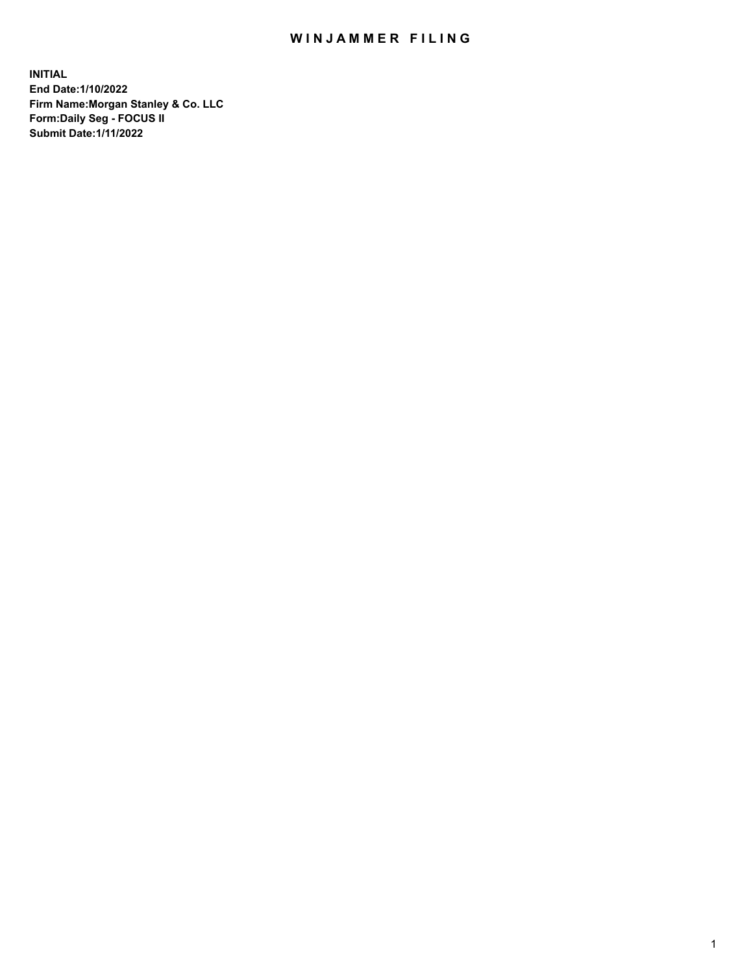## WIN JAMMER FILING

**INITIAL End Date:1/10/2022 Firm Name:Morgan Stanley & Co. LLC Form:Daily Seg - FOCUS II Submit Date:1/11/2022**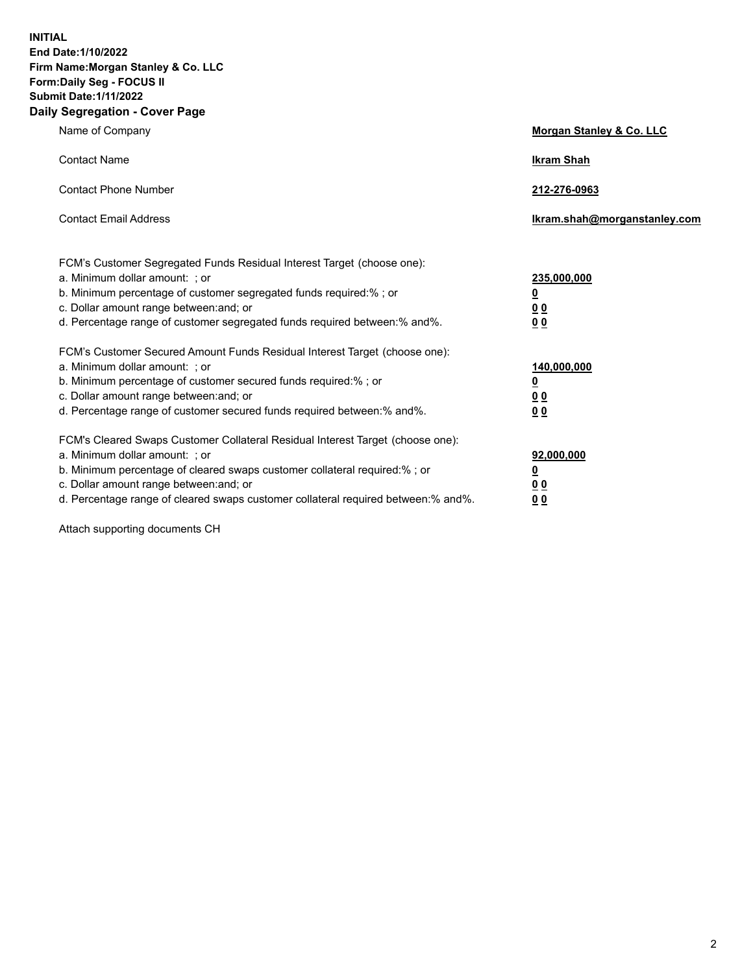**INITIAL End Date:1/10/2022 Firm Name:Morgan Stanley & Co. LLC Form:Daily Seg - FOCUS II Submit Date:1/11/2022 Daily Segregation - Cover Page**

| Name of Company                                                                                                                                                                                                                                                                                                                | <b>Morgan Stanley &amp; Co. LLC</b>                    |
|--------------------------------------------------------------------------------------------------------------------------------------------------------------------------------------------------------------------------------------------------------------------------------------------------------------------------------|--------------------------------------------------------|
| <b>Contact Name</b>                                                                                                                                                                                                                                                                                                            | <b>Ikram Shah</b>                                      |
| <b>Contact Phone Number</b>                                                                                                                                                                                                                                                                                                    | 212-276-0963                                           |
| <b>Contact Email Address</b>                                                                                                                                                                                                                                                                                                   | Ikram.shah@morganstanley.com                           |
| FCM's Customer Segregated Funds Residual Interest Target (choose one):<br>a. Minimum dollar amount: ; or<br>b. Minimum percentage of customer segregated funds required:% ; or<br>c. Dollar amount range between: and; or<br>d. Percentage range of customer segregated funds required between:% and%.                         | 235,000,000<br><u>0</u><br>0 Q<br>0 Q                  |
| FCM's Customer Secured Amount Funds Residual Interest Target (choose one):<br>a. Minimum dollar amount: ; or<br>b. Minimum percentage of customer secured funds required:% ; or<br>c. Dollar amount range between: and; or<br>d. Percentage range of customer secured funds required between: % and %.                         | 140,000,000<br><u>0</u><br><u>00</u><br>0 <sub>0</sub> |
| FCM's Cleared Swaps Customer Collateral Residual Interest Target (choose one):<br>a. Minimum dollar amount: ; or<br>b. Minimum percentage of cleared swaps customer collateral required:% ; or<br>c. Dollar amount range between: and; or<br>d. Percentage range of cleared swaps customer collateral required between:% and%. | 92,000,000<br><u>0</u><br>0 Q<br>00                    |

Attach supporting documents CH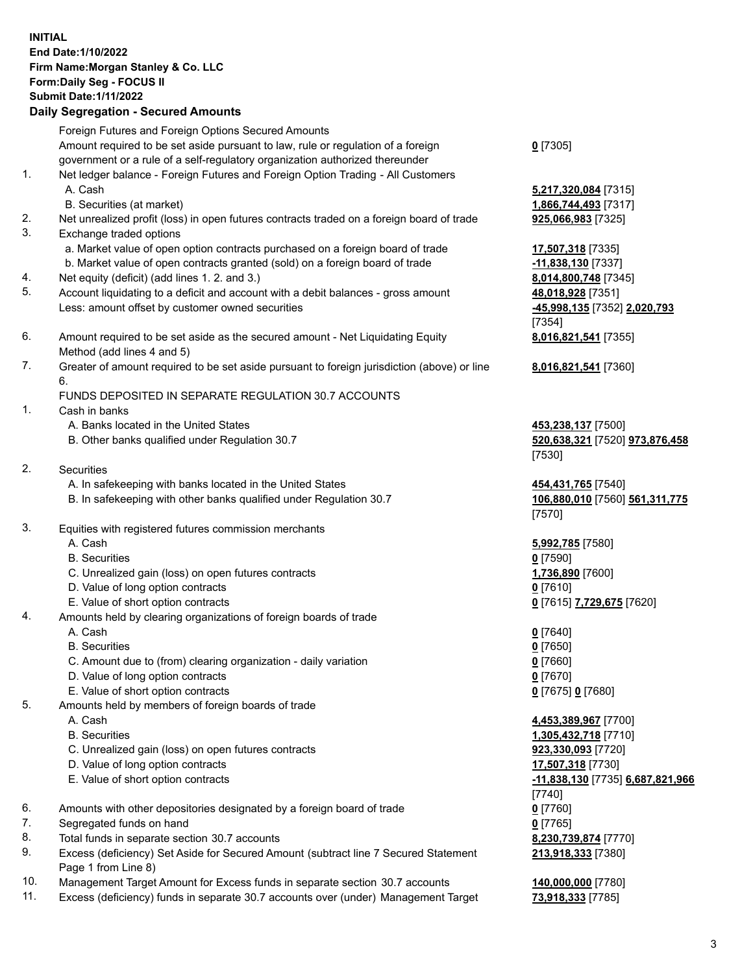## **INITIAL End Date:1/10/2022 Firm Name:Morgan Stanley & Co. LLC Form:Daily Seg - FOCUS II Submit Date:1/11/2022**

## **Daily Segregation - Secured Amounts**

Foreign Futures and Foreign Options Secured Amounts Amount required to be set aside pursuant to law, rule or regulation of a foreign government or a rule of a self-regulatory organization authorized thereunder 1. Net ledger balance - Foreign Futures and Foreign Option Trading - All Customers A. Cash **5,217,320,084** [7315] B. Securities (at market) **1,866,744,493** [7317] 2. Net unrealized profit (loss) in open futures contracts traded on a foreign board of trade **925,066,983** [7325] 3. Exchange traded options a. Market value of open option contracts purchased on a foreign board of trade **17,507,318** [7335] b. Market value of open contracts granted (sold) on a foreign board of trade **-11,838,130** [7337] 4. Net equity (deficit) (add lines 1. 2. and 3.) **8,014,800,748** [7345] 5. Account liquidating to a deficit and account with a debit balances - gross amount **48,018,928** [7351] Less: amount offset by customer owned securities **-45,998,135** [7352] **2,020,793** 6. Amount required to be set aside as the secured amount - Net Liquidating Equity Method (add lines 4 and 5) 7. Greater of amount required to be set aside pursuant to foreign jurisdiction (above) or line 6. FUNDS DEPOSITED IN SEPARATE REGULATION 30.7 ACCOUNTS 1. Cash in banks A. Banks located in the United States **453,238,137** [7500] B. Other banks qualified under Regulation 30.7 **520,638,321** [7520] **973,876,458** 2. Securities A. In safekeeping with banks located in the United States **454,431,765** [7540] B. In safekeeping with other banks qualified under Regulation 30.7 **106,880,010** [7560] **561,311,775** 3. Equities with registered futures commission merchants

- 
- B. Securities **0** [7590]
- C. Unrealized gain (loss) on open futures contracts **1,736,890** [7600]
- D. Value of long option contracts **0** [7610]
- E. Value of short option contracts **0** [7615] **7,729,675** [7620]
- 4. Amounts held by clearing organizations of foreign boards of trade
	- A. Cash **0** [7640]
	- B. Securities **0** [7650]
	- C. Amount due to (from) clearing organization daily variation **0** [7660]
	- D. Value of long option contracts **0** [7670]
	- E. Value of short option contracts **0** [7675] **0** [7680]
- 5. Amounts held by members of foreign boards of trade
	-
	-
	- C. Unrealized gain (loss) on open futures contracts **923,330,093** [7720]
	- D. Value of long option contracts **17,507,318** [7730]
	-
- 6. Amounts with other depositories designated by a foreign board of trade **0** [7760]
- 7. Segregated funds on hand **0** [7765]
- 8. Total funds in separate section 30.7 accounts **8,230,739,874** [7770]
- 9. Excess (deficiency) Set Aside for Secured Amount (subtract line 7 Secured Statement Page 1 from Line 8)
- 10. Management Target Amount for Excess funds in separate section 30.7 accounts **140,000,000** [7780]
- 11. Excess (deficiency) funds in separate 30.7 accounts over (under) Management Target **73,918,333** [7785]

**0** [7305]

[7354] **8,016,821,541** [7355]

**8,016,821,541** [7360]

[7530]

[7570]

A. Cash **5,992,785** [7580]

 A. Cash **4,453,389,967** [7700] B. Securities **1,305,432,718** [7710] E. Value of short option contracts **-11,838,130** [7735] **6,687,821,966** [7740] **213,918,333** [7380]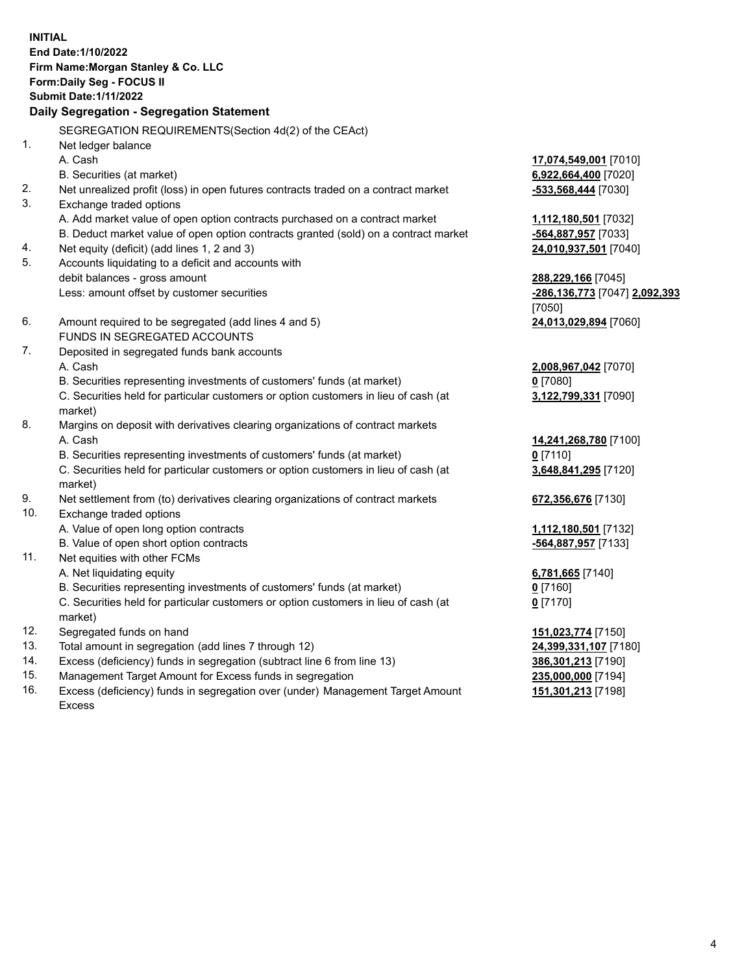**INITIAL End Date:1/10/2022 Firm Name:Morgan Stanley & Co. LLC Form:Daily Seg - FOCUS II Submit Date:1/11/2022 Daily Segregation - Segregation Statement** SEGREGATION REQUIREMENTS(Section 4d(2) of the CEAct) 1. Net ledger balance A. Cash **17,074,549,001** [7010] B. Securities (at market) **6,922,664,400** [7020] 2. Net unrealized profit (loss) in open futures contracts traded on a contract market **-533,568,444** [7030] 3. Exchange traded options A. Add market value of open option contracts purchased on a contract market **1,112,180,501** [7032] B. Deduct market value of open option contracts granted (sold) on a contract market **-564,887,957** [7033] 4. Net equity (deficit) (add lines 1, 2 and 3) **24,010,937,501** [7040] 5. Accounts liquidating to a deficit and accounts with debit balances - gross amount **288,229,166** [7045] Less: amount offset by customer securities **-286,136,773** [7047] **2,092,393** [7050] 6. Amount required to be segregated (add lines 4 and 5) **24,013,029,894** [7060] FUNDS IN SEGREGATED ACCOUNTS 7. Deposited in segregated funds bank accounts A. Cash **2,008,967,042** [7070] B. Securities representing investments of customers' funds (at market) **0** [7080] C. Securities held for particular customers or option customers in lieu of cash (at market) **3,122,799,331** [7090] 8. Margins on deposit with derivatives clearing organizations of contract markets A. Cash **14,241,268,780** [7100] B. Securities representing investments of customers' funds (at market) **0** [7110] C. Securities held for particular customers or option customers in lieu of cash (at market) **3,648,841,295** [7120] 9. Net settlement from (to) derivatives clearing organizations of contract markets **672,356,676** [7130] 10. Exchange traded options A. Value of open long option contracts **1,112,180,501** [7132] B. Value of open short option contracts **-564,887,957** [7133] 11. Net equities with other FCMs A. Net liquidating equity **6,781,665** [7140] B. Securities representing investments of customers' funds (at market) **0** [7160] C. Securities held for particular customers or option customers in lieu of cash (at market) **0** [7170] 12. Segregated funds on hand **151,023,774** [7150] 13. Total amount in segregation (add lines 7 through 12) **24,399,331,107** [7180] 14. Excess (deficiency) funds in segregation (subtract line 6 from line 13) **386,301,213** [7190] 15. Management Target Amount for Excess funds in segregation **235,000,000** [7194]

16. Excess (deficiency) funds in segregation over (under) Management Target Amount Excess

**151,301,213** [7198]